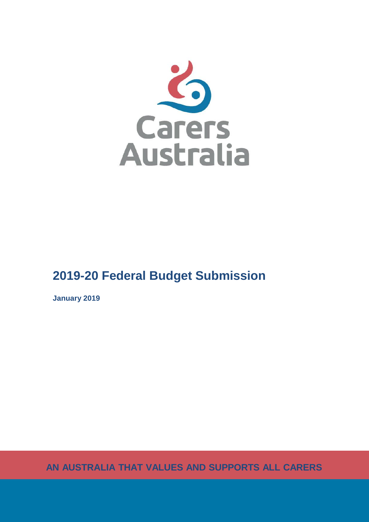

# **2019-20 Federal Budget Submission**

**January 2019**

**AN AUSTRALIA THAT VALUES AND SUPPORTS ALL CARERS**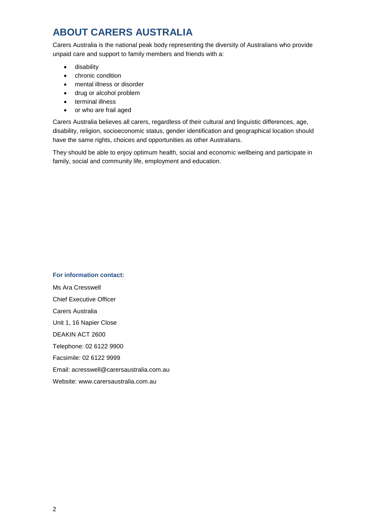## **ABOUT CARERS AUSTRALIA**

Carers Australia is the national peak body representing the diversity of Australians who provide unpaid care and support to family members and friends with a:

- **•** disability
- chronic condition
- mental illness or disorder
- drug or alcohol problem
- terminal illness
- or who are frail aged

Carers Australia believes all carers, regardless of their cultural and linguistic differences, age, disability, religion, socioeconomic status, gender identification and geographical location should have the same rights, choices and opportunities as other Australians.

They should be able to enjoy optimum health, social and economic wellbeing and participate in family, social and community life, employment and education.

### **For information contact:**

Ms Ara Cresswell Chief Executive Officer Carers Australia Unit 1, 16 Napier Close DEAKIN ACT 2600 Telephone: 02 6122 9900 Facsimile: 02 6122 9999 Email: acresswell@carersaustralia.com.au Website: www.carersaustralia.com.au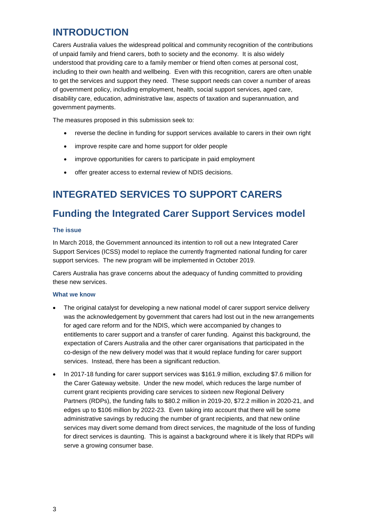## **INTRODUCTION**

Carers Australia values the widespread political and community recognition of the contributions of unpaid family and friend carers, both to society and the economy. It is also widely understood that providing care to a family member or friend often comes at personal cost, including to their own health and wellbeing. Even with this recognition, carers are often unable to get the services and support they need. These support needs can cover a number of areas of government policy, including employment, health, social support services, aged care, disability care, education, administrative law, aspects of taxation and superannuation, and government payments.

The measures proposed in this submission seek to:

- reverse the decline in funding for support services available to carers in their own right
- improve respite care and home support for older people
- improve opportunities for carers to participate in paid employment
- offer greater access to external review of NDIS decisions.

## **INTEGRATED SERVICES TO SUPPORT CARERS**

## **Funding the Integrated Carer Support Services model**

#### **The issue**

In March 2018, the Government announced its intention to roll out a new Integrated Carer Support Services (ICSS) model to replace the currently fragmented national funding for carer support services. The new program will be implemented in October 2019.

Carers Australia has grave concerns about the adequacy of funding committed to providing these new services.

#### **What we know**

- The original catalyst for developing a new national model of carer support service delivery was the acknowledgement by government that carers had lost out in the new arrangements for aged care reform and for the NDIS, which were accompanied by changes to entitlements to carer support and a transfer of carer funding. Against this background, the expectation of Carers Australia and the other carer organisations that participated in the co-design of the new delivery model was that it would replace funding for carer support services. Instead, there has been a significant reduction.
- In 2017-18 funding for carer support services was \$161.9 million, excluding \$7.6 million for the Carer Gateway website. Under the new model, which reduces the large number of current grant recipients providing care services to sixteen new Regional Delivery Partners (RDPs), the funding falls to \$80.2 million in 2019-20, \$72.2 million in 2020-21, and edges up to \$106 million by 2022-23. Even taking into account that there will be some administrative savings by reducing the number of grant recipients, and that new online services may divert some demand from direct services, the magnitude of the loss of funding for direct services is daunting. This is against a background where it is likely that RDPs will serve a growing consumer base.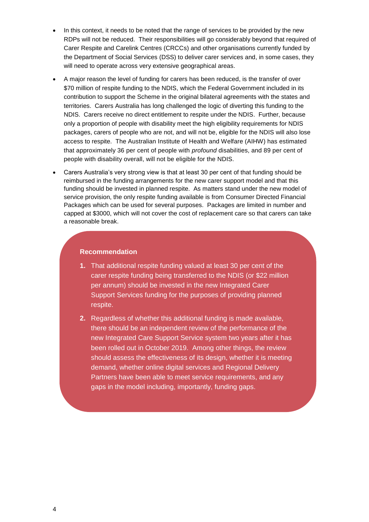- In this context, it needs to be noted that the range of services to be provided by the new RDPs will not be reduced. Their responsibilities will go considerably beyond that required of Carer Respite and Carelink Centres (CRCCs) and other organisations currently funded by the Department of Social Services (DSS) to deliver carer services and, in some cases, they will need to operate across very extensive geographical areas.
- A major reason the level of funding for carers has been reduced, is the transfer of over \$70 million of respite funding to the NDIS, which the Federal Government included in its contribution to support the Scheme in the original bilateral agreements with the states and territories. Carers Australia has long challenged the logic of diverting this funding to the NDIS. Carers receive no direct entitlement to respite under the NDIS. Further, because only a proportion of people with disability meet the high eligibility requirements for NDIS packages, carers of people who are not, and will not be, eligible for the NDIS will also lose access to respite. The Australian Institute of Health and Welfare (AIHW) has estimated that approximately 36 per cent of people with *profound* disabilities, and 89 per cent of people with disability overall, will not be eligible for the NDIS.
- Carers Australia's very strong view is that at least 30 per cent of that funding should be reimbursed in the funding arrangements for the new carer support model and that this funding should be invested in planned respite. As matters stand under the new model of service provision, the only respite funding available is from Consumer Directed Financial Packages which can be used for several purposes. Packages are limited in number and capped at \$3000, which will not cover the cost of replacement care so that carers can take a reasonable break.

### **Recommendation**

- **1.** That additional respite funding valued at least 30 per cent of the carer respite funding being transferred to the NDIS (or \$22 million per annum) should be invested in the new Integrated Carer Support Services funding for the purposes of providing planned respite.
- **2.** Regardless of whether this additional funding is made available, there should be an independent review of the performance of the new Integrated Care Support Service system two years after it has been rolled out in October 2019. Among other things, the review should assess the effectiveness of its design, whether it is meeting demand, whether online digital services and Regional Delivery Partners have been able to meet service requirements, and any gaps in the model including, importantly, funding gaps.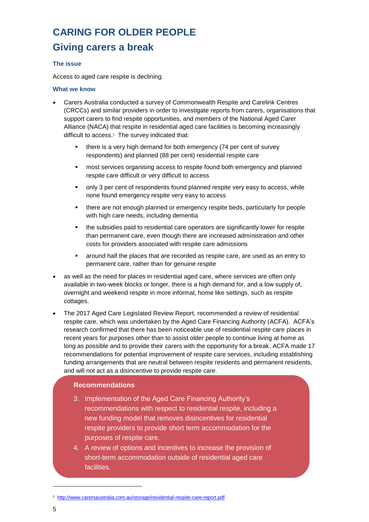# **CARING FOR OLDER PEOPLE Giving carers a break**

## **The issue**

Access to aged care respite is declining.

#### **What we know**

- Carers Australia conducted a survey of Commonwealth Respite and Carelink Centres (CRCCs) and similar providers in order to investigate reports from carers, organisations that support carers to find respite opportunities, and members of the National Aged Carer Alliance (NACA) that respite in residential aged care facilities is becoming increasingly difficult to access.<sup>1</sup> The survey indicated that:
	- **there is a very high demand for both emergency (74 per cent of survey** respondents) and planned (88 per cent) residential respite care
	- most services organising access to respite found both emergency and planned respite care difficult or very difficult to access
	- only 3 per cent of respondents found planned respite very easy to access, while none found emergency respite very easy to access
	- there are not enough planned or emergency respite beds, particularly for people with high care needs, including dementia
	- the subsidies paid to residential care operators are significantly lower for respite than permanent care, even though there are increased administration and other costs for providers associated with respite care admissions
	- around half the places that are recorded as respite care, are used as an entry to permanent care, rather than for genuine respite
- as well as the need for places in residential aged care, where services are often only available in two-week blocks or longer, there is a high demand for, and a low supply of, overnight and weekend respite in more informal, home like settings, such as respite cottages.
- The 2017 Aged Care Legislated Review Report, recommended a review of residential respite care, which was undertaken by the Aged Care Financing Authority (ACFA). ACFA's research confirmed that there has been noticeable use of residential respite care places in recent years for purposes other than to assist older people to continue living at home as long as possible and to provide their carers with the opportunity for a break. ACFA made 17 recommendations for potential improvement of respite care services, including establishing funding arrangements that are neutral between respite residents and permanent residents, and will not act as a disincentive to provide respite care.

### **Recommendations**

- 3. Implementation of the Aged Care Financing Authority's recommendations with respect to residential respite, including a new funding model that removes disincentives for residential respite providers to provide short term accommodation for the purposes of respite care.
- 4. A review of options and incentives to increase the provision of short-term accommodation outside of residential aged care facilities.

1

<sup>1</sup> <http://www.carersaustralia.com.au/storage/residential-respite-care-report.pdf>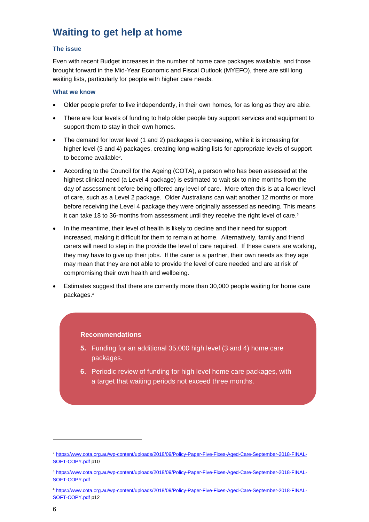## **Waiting to get help at home**

## **The issue**

Even with recent Budget increases in the number of home care packages available, and those brought forward in the Mid-Year Economic and Fiscal Outlook (MYEFO), there are still long waiting lists, particularly for people with higher care needs.

### **What we know**

- Older people prefer to live independently, in their own homes, for as long as they are able.
- There are four levels of funding to help older people buy support services and equipment to support them to stay in their own homes.
- The demand for lower level (1 and 2) packages is decreasing, while it is increasing for higher level (3 and 4) packages, creating long waiting lists for appropriate levels of support to become available<sup>2</sup>.
- According to the Council for the Ageing (COTA), a person who has been assessed at the highest clinical need (a Level 4 package) is estimated to wait six to nine months from the day of assessment before being offered any level of care. More often this is at a lower level of care, such as a Level 2 package. Older Australians can wait another 12 months or more before receiving the Level 4 package they were originally assessed as needing. This means it can take 18 to 36-months from assessment until they receive the right level of care.<sup>3</sup>
- In the meantime, their level of health is likely to decline and their need for support increased, making it difficult for them to remain at home. Alternatively, family and friend carers will need to step in the provide the level of care required. If these carers are working, they may have to give up their jobs. If the carer is a partner, their own needs as they age may mean that they are not able to provide the level of care needed and are at risk of compromising their own health and wellbeing.
- Estimates suggest that there are currently more than 30,000 people waiting for home care packages.<sup>4</sup>

## **Recommendations**

- **5.** Funding for an additional 35,000 high level (3 and 4) home care packages.
- **6.** Periodic review of funding for high level home care packages, with a target that waiting periods not exceed three months.

1

<sup>2</sup> [https://www.cota.org.au/wp-content/uploads/2018/09/Policy-Paper-Five-Fixes-Aged-Care-September-2018-FINAL-](https://www.cota.org.au/wp-content/uploads/2018/09/Policy-Paper-Five-Fixes-Aged-Care-September-2018-FINAL-SOFT-COPY.pdf)[SOFT-COPY.pdf](https://www.cota.org.au/wp-content/uploads/2018/09/Policy-Paper-Five-Fixes-Aged-Care-September-2018-FINAL-SOFT-COPY.pdf) p10

<sup>3</sup> [https://www.cota.org.au/wp-content/uploads/2018/09/Policy-Paper-Five-Fixes-Aged-Care-September-2018-FINAL-](https://www.cota.org.au/wp-content/uploads/2018/09/Policy-Paper-Five-Fixes-Aged-Care-September-2018-FINAL-SOFT-COPY.pdf)[SOFT-COPY.pdf](https://www.cota.org.au/wp-content/uploads/2018/09/Policy-Paper-Five-Fixes-Aged-Care-September-2018-FINAL-SOFT-COPY.pdf)

<sup>4</sup> [https://www.cota.org.au/wp-content/uploads/2018/09/Policy-Paper-Five-Fixes-Aged-Care-September-2018-FINAL-](https://www.cota.org.au/wp-content/uploads/2018/09/Policy-Paper-Five-Fixes-Aged-Care-September-2018-FINAL-SOFT-COPY.pdf)[SOFT-COPY.pdf](https://www.cota.org.au/wp-content/uploads/2018/09/Policy-Paper-Five-Fixes-Aged-Care-September-2018-FINAL-SOFT-COPY.pdf) p12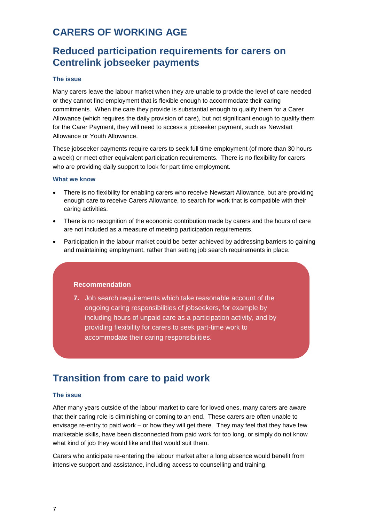## **CARERS OF WORKING AGE**

## **Reduced participation requirements for carers on Centrelink jobseeker payments**

#### **The issue**

Many carers leave the labour market when they are unable to provide the level of care needed or they cannot find employment that is flexible enough to accommodate their caring commitments. When the care they provide is substantial enough to qualify them for a Carer Allowance (which requires the daily provision of care), but not significant enough to qualify them for the Carer Payment, they will need to access a jobseeker payment, such as Newstart Allowance or Youth Allowance.

These jobseeker payments require carers to seek full time employment (of more than 30 hours a week) or meet other equivalent participation requirements. There is no flexibility for carers who are providing daily support to look for part time employment.

#### **What we know**

- There is no flexibility for enabling carers who receive Newstart Allowance, but are providing enough care to receive Carers Allowance, to search for work that is compatible with their caring activities.
- There is no recognition of the economic contribution made by carers and the hours of care are not included as a measure of meeting participation requirements.
- Participation in the labour market could be better achieved by addressing barriers to gaining and maintaining employment, rather than setting job search requirements in place.

### **Recommendation**

**7.** Job search requirements which take reasonable account of the ongoing caring responsibilities of jobseekers, for example by including hours of unpaid care as a participation activity, and by providing flexibility for carers to seek part-time work to accommodate their caring responsibilities.

## **Transition from care to paid work**

#### **The issue**

After many years outside of the labour market to care for loved ones, many carers are aware that their caring role is diminishing or coming to an end. These carers are often unable to envisage re-entry to paid work – or how they will get there. They may feel that they have few marketable skills, have been disconnected from paid work for too long, or simply do not know what kind of job they would like and that would suit them.

Carers who anticipate re-entering the labour market after a long absence would benefit from intensive support and assistance, including access to counselling and training.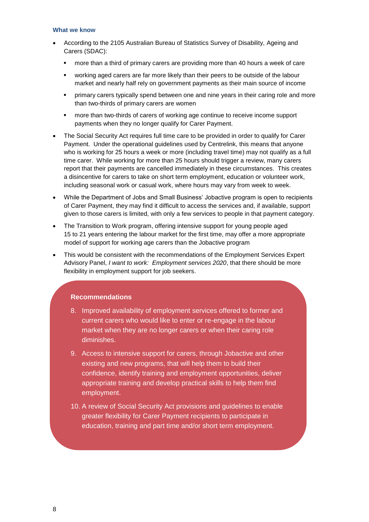#### **What we know**

- According to the 2105 Australian Bureau of Statistics Survey of Disability, Ageing and Carers (SDAC):
	- more than a third of primary carers are providing more than 40 hours a week of care
	- working aged carers are far more likely than their peers to be outside of the labour market and nearly half rely on government payments as their main source of income
	- primary carers typically spend between one and nine years in their caring role and more than two-thirds of primary carers are women
	- more than two-thirds of carers of working age continue to receive income support payments when they no longer qualify for Carer Payment.
- The Social Security Act requires full time care to be provided in order to qualify for Carer Payment. Under the operational guidelines used by Centrelink, this means that anyone who is working for 25 hours a week or more (including travel time) may not qualify as a full time carer. While working for more than 25 hours should trigger a review, many carers report that their payments are cancelled immediately in these circumstances. This creates a disincentive for carers to take on short term employment, education or volunteer work, including seasonal work or casual work, where hours may vary from week to week.
- While the Department of Jobs and Small Business' Jobactive program is open to recipients of Carer Payment, they may find it difficult to access the services and, if available, support given to those carers is limited, with only a few services to people in that payment category.
- The Transition to Work program, offering intensive support for young people aged 15 to 21 years entering the labour market for the first time, may offer a more appropriate model of support for working age carers than the Jobactive program
- This would be consistent with the recommendations of the Employment Services Expert Advisory Panel, *I want to work: Employment services 2020*, that there should be more flexibility in employment support for job seekers.

## **Recommendations**

- 8. Improved availability of employment services offered to former and current carers who would like to enter or re-engage in the labour market when they are no longer carers or when their caring role diminishes.
- 9. Access to intensive support for carers, through Jobactive and other existing and new programs, that will help them to build their confidence, identify training and employment opportunities, deliver appropriate training and develop practical skills to help them find employment.
- 10. A review of Social Security Act provisions and guidelines to enable greater flexibility for Carer Payment recipients to participate in education, training and part time and/or short term employment.